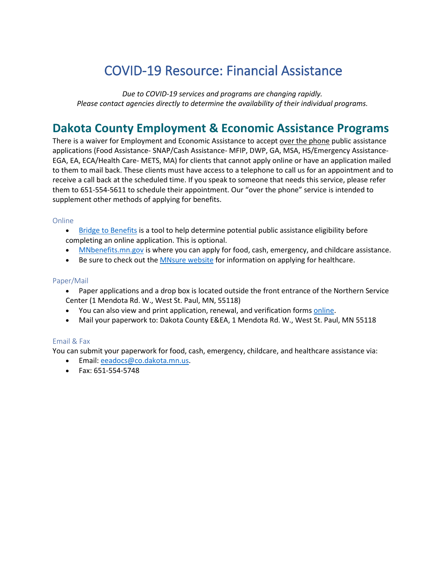# COVID-19 Resource: Financial Assistance

*Due to COVID-19 services and programs are changing rapidly. Please contact agencies directly to determine the availability of their individual programs.*

## **Dakota County Employment & Economic Assistance Programs**

There is a waiver for Employment and Economic Assistance to accept over the phone public assistance applications (Food Assistance- SNAP/Cash Assistance- MFIP, DWP, GA, MSA, HS/Emergency Assistance-EGA, EA, ECA/Health Care- METS, MA) for clients that cannot apply online or have an application mailed to them to mail back. These clients must have access to a telephone to call us for an appointment and to receive a call back at the scheduled time. If you speak to someone that needs this service, please refer them to 651-554-5611 to schedule their appointment. Our "over the phone" service is intended to supplement other methods of applying for benefits.

#### Online

- [Bridge to Benefits](http://bridgetobenefits.org/Home2) is a tool to help determine potential public assistance eligibility before completing an online application. This is optional.
- [MNbenefits.mn.gov](https://mnbenefits.mn.gov/) is where you can apply for food, cash, emergency, and childcare assistance.
- Be sure to check out the **MNsure website** for information on applying for healthcare.

#### Paper/Mail

- Paper applications and a drop box is located outside the front entrance of the Northern Service Center (1 Mendota Rd. W., West St. Paul, MN, 55118)
- You can also view and print application, renewal, and verification form[s online.](https://mn.gov/dhs/general-public/publications-forms-resources/edocs/)
- Mail your paperwork to: Dakota County E&EA, 1 Mendota Rd. W., West St. Paul, MN 55118

### Email & Fax

You can submit your paperwork for food, cash, emergency, childcare, and healthcare assistance via:

- Email: [eeadocs@co.dakota.mn.us.](mailto:eeadocs@co.dakota.mn.us)
- Fax: 651-554-5748